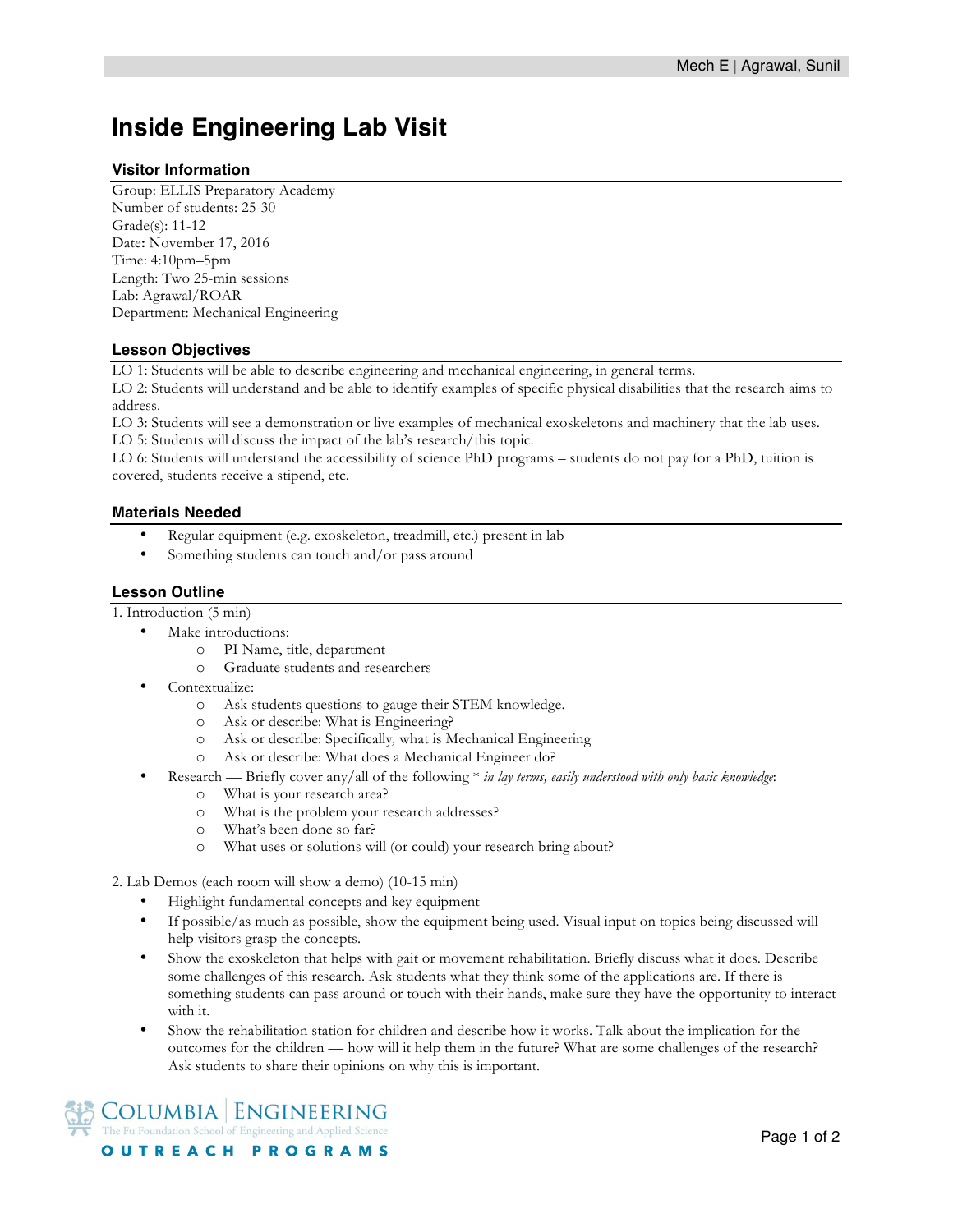# **Inside Engineering Lab Visit**

#### **Visitor Information**

Group: ELLIS Preparatory Academy Number of students: 25-30 Grade(s): 11-12 Date**:** November 17, 2016 Time: 4:10pm–5pm Length: Two 25-min sessions Lab: Agrawal/ROAR Department: Mechanical Engineering

## **Lesson Objectives**

LO 1: Students will be able to describe engineering and mechanical engineering, in general terms.

LO 2: Students will understand and be able to identify examples of specific physical disabilities that the research aims to address.

LO 3: Students will see a demonstration or live examples of mechanical exoskeletons and machinery that the lab uses. LO 5: Students will discuss the impact of the lab's research/this topic.

LO 6: Students will understand the accessibility of science PhD programs – students do not pay for a PhD, tuition is covered, students receive a stipend, etc.

## **Materials Needed**

- Regular equipment (e.g. exoskeleton, treadmill, etc.) present in lab
- Something students can touch and/or pass around

#### **Lesson Outline**

1. Introduction (5 min)

- Make introductions:
	- o PI Name, title, department
	- o Graduate students and researchers
- Contextualize:
	- o Ask students questions to gauge their STEM knowledge.
	- o Ask or describe: What is Engineering?
	- o Ask or describe: Specifically*,* what is Mechanical Engineering
	- o Ask or describe: What does a Mechanical Engineer do?
- Research Briefly cover any/all of the following \* *in lay terms, easily understood with only basic knowledge*:
	- o What is your research area?
	- o What is the problem your research addresses?
	- o What's been done so far?
	- o What uses or solutions will (or could) your research bring about?

2. Lab Demos (each room will show a demo) (10-15 min)

- Highlight fundamental concepts and key equipment
- If possible/as much as possible, show the equipment being used. Visual input on topics being discussed will help visitors grasp the concepts.
- Show the exoskeleton that helps with gait or movement rehabilitation. Briefly discuss what it does. Describe some challenges of this research. Ask students what they think some of the applications are. If there is something students can pass around or touch with their hands, make sure they have the opportunity to interact with it.
- Show the rehabilitation station for children and describe how it works. Talk about the implication for the outcomes for the children — how will it help them in the future? What are some challenges of the research? Ask students to share their opinions on why this is important.